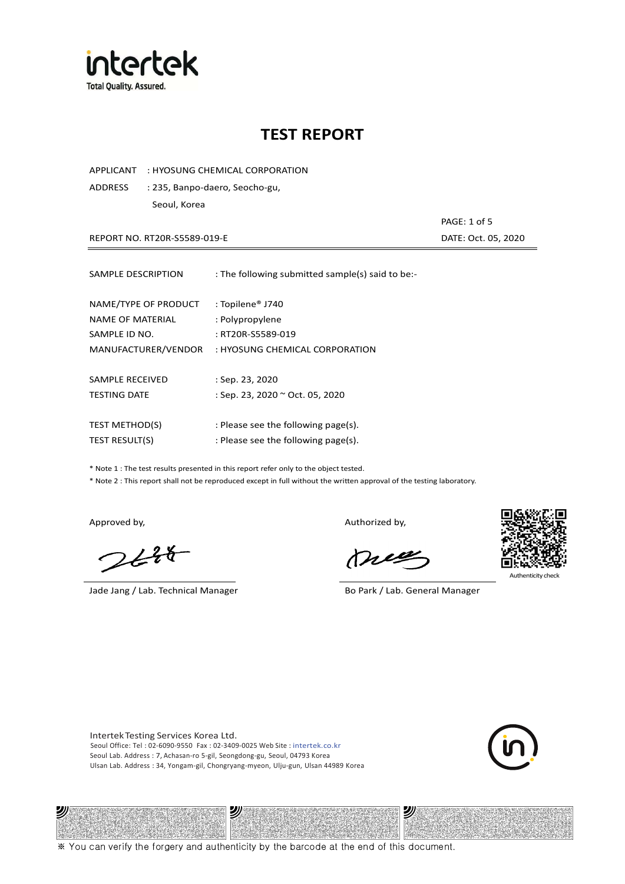

## **TEST REPORT**

APPLICANT : HYOSUNG CHEMICAL CORPORATION

ADDRESS : 235, Banpo-daero, Seocho-gu, Seoul, Korea

REPORT NO. RT20R-S5589-019-E **DATE: Oct. 05, 2020** 

PAGE: 1 of 5

| SAMPLE DESCRIPTION                                        | : The following submitted sample(s) said to be:-                     |
|-----------------------------------------------------------|----------------------------------------------------------------------|
| NAME/TYPE OF PRODUCT<br>NAME OF MATERIAL<br>SAMPLE ID NO. | : Topilene <sup>®</sup> J740<br>: Polypropylene<br>: RT20R-S5589-019 |
| MANUFACTURER/VENDOR                                       | : HYOSUNG CHEMICAL CORPORATION                                       |
|                                                           |                                                                      |
| SAMPLE RECEIVED                                           | : Sep. 23, 2020                                                      |
| <b>TESTING DATE</b>                                       | : Sep. 23, 2020 ~ Oct. 05, 2020                                      |
|                                                           |                                                                      |
| <b>TEST METHOD(S)</b>                                     | : Please see the following page(s).                                  |
| <b>TEST RESULT(S)</b>                                     | : Please see the following page(s).                                  |

\* Note 1 : The test results presented in this report refer only to the object tested.

\* Note 2 : This report shall not be reproduced except in full without the written approval of the testing laboratory.

沙

 $2648$ 

Jade Jang / Lab. Technical Manager Bo Park / Lab. General Manager

Approved by, and the control of the control of the Authorized by,

Mie



Authenticity ch

沙

Intertek Testing Services Korea Ltd. Seoul Office: Tel : 02-6090-9550 Fax : 02-3409-0025 Web Site : intertek.co.kr Seoul Lab. Address : 7, Achasan-ro 5-gil, Seongdong-gu, Seoul, 04793 Korea Ulsan Lab. Address : 34, Yongam-gil, Chongryang-myeon, Ulju-gun, Ulsan 44989 Korea

沙



※ You can verify the forgery and authenticity by the barcode at the end of this document.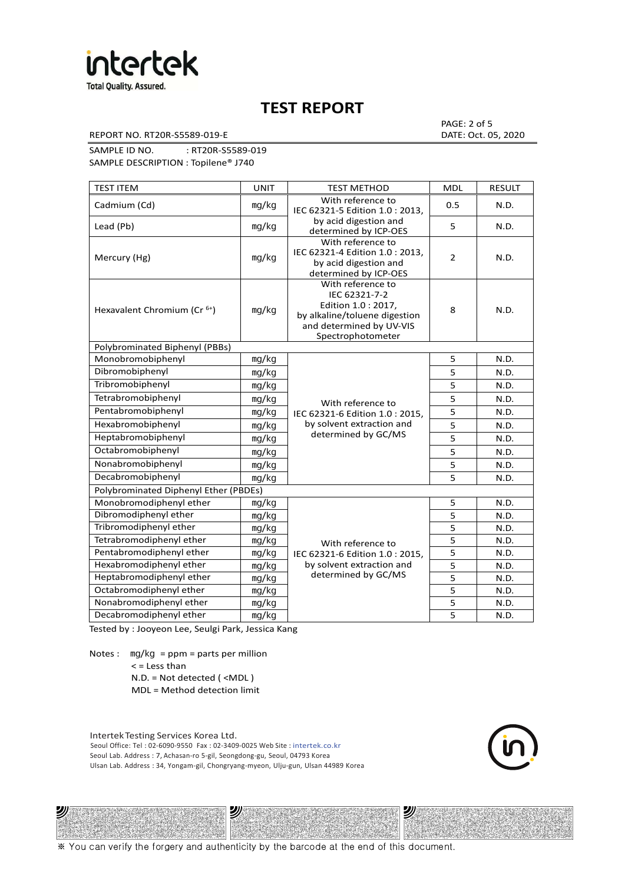

### **TEST REPORT**

REPORT NO. RT20R-S5589-019-E DATE: Oct. 05, 2020

PAGE: 2 of 5

SAMPLE ID NO. : RT20R-S5589-019 SAMPLE DESCRIPTION : Topilene® J740

| <b>TEST ITEM</b>                        | <b>UNIT</b>    | <b>TEST METHOD</b>                                                                                                                         | <b>MDL</b>     | <b>RESULT</b> |
|-----------------------------------------|----------------|--------------------------------------------------------------------------------------------------------------------------------------------|----------------|---------------|
| Cadmium (Cd)                            | mg/kg          | With reference to<br>IEC 62321-5 Edition 1.0: 2013.                                                                                        | 0.5            | N.D.          |
| Lead (Pb)                               | mq/kg          | by acid digestion and<br>determined by ICP-OES                                                                                             | 5              | N.D.          |
| Mercury (Hg)                            | mg/kg          | With reference to<br>IEC 62321-4 Edition 1.0 : 2013,<br>by acid digestion and<br>determined by ICP-OES                                     | $\overline{2}$ | N.D.          |
| Hexavalent Chromium (Cr <sup>6+</sup> ) | mq/kg          | With reference to<br>IEC 62321-7-2<br>Edition 1.0: 2017,<br>by alkaline/toluene digestion<br>and determined by UV-VIS<br>Spectrophotometer | 8              | N.D.          |
| Polybrominated Biphenyl (PBBs)          |                |                                                                                                                                            |                |               |
| Monobromobiphenyl                       | mg/kg          |                                                                                                                                            | 5              | N.D.          |
| Dibromobiphenyl                         | mg/kg<br>mg/kg |                                                                                                                                            | 5              | N.D.          |
| Tribromobiphenyl                        |                |                                                                                                                                            | 5              | N.D.          |
| Tetrabromobiphenyl                      | mg/kg          | With reference to                                                                                                                          | $\overline{5}$ | N.D.          |
| Pentabromobiphenyl                      | mg/kg          | IEC 62321-6 Edition 1.0: 2015,                                                                                                             | 5              | N.D.          |
| Hexabromobiphenyl                       | mg/kg          | by solvent extraction and                                                                                                                  | 5              | N.D.          |
| Heptabromobiphenyl                      | mg/kg          | determined by GC/MS                                                                                                                        | 5              | N.D.          |
| Octabromobiphenyl                       | mg/kg          |                                                                                                                                            | 5              | N.D.          |
| Nonabromobiphenyl                       | mg/kg          |                                                                                                                                            | $\overline{5}$ | N.D.          |
| Decabromobiphenyl                       | mg/kg          |                                                                                                                                            | 5              | N.D.          |
| Polybrominated Diphenyl Ether (PBDEs)   |                |                                                                                                                                            |                |               |
| Monobromodiphenyl ether                 | mg/kg          |                                                                                                                                            | 5              | N.D.          |
| Dibromodiphenyl ether                   | mg/kg          |                                                                                                                                            | 5              | N.D.          |
| Tribromodiphenyl ether                  | mg/kg          |                                                                                                                                            | 5              | N.D.          |
| Tetrabromodiphenyl ether                | mg/kg          | With reference to                                                                                                                          | 5              | N.D.          |
| Pentabromodiphenyl ether                | mg/kg          | IEC 62321-6 Edition 1.0 : 2015,                                                                                                            | 5              | N.D.          |
| Hexabromodiphenyl ether                 | mg/kg          | by solvent extraction and                                                                                                                  | 5              | N.D.          |
| Heptabromodiphenyl ether                | mg/kg          | determined by GC/MS                                                                                                                        | 5              | N.D.          |
| Octabromodiphenyl ether                 | mg/kg          |                                                                                                                                            | 5              | N.D.          |
| Nonabromodiphenyl ether                 | mg/kg          |                                                                                                                                            | 5              | N.D.          |
| Decabromodiphenyl ether                 | mg/kg          |                                                                                                                                            | 5              | N.D.          |

Tested by : Jooyeon Lee, Seulgi Park, Jessica Kang

Notes : mg/kg = ppm = parts per million  $<$  = Less than

沙

N.D. = Not detected ( <MDL )

MDL = Method detection limit

Intertek Testing Services Korea Ltd. Seoul Office: Tel : 02-6090-9550 Fax : 02-3409-0025 Web Site : intertek.co.kr Seoul Lab. Address : 7, Achasan-ro 5-gil, Seongdong-gu, Seoul, 04793 Korea Ulsan Lab. Address : 34, Yongam-gil, Chongryang-myeon, Ulju-gun, Ulsan 44989 Korea

沙

沙

※ You can verify the forgery and authenticity by the barcode at the end of this document.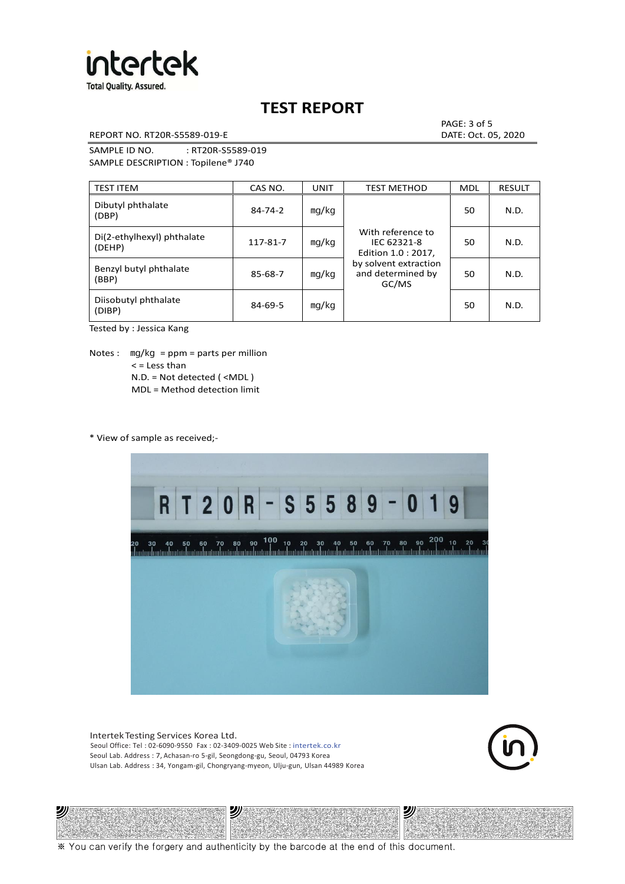

**Total Quality. Assured.** 

# **TEST REPORT**

REPORT NO. RT20R-S5589-019-E DATE: Oct. 05, 2020

PAGE: 3 of 5

SAMPLE ID NO. : RT20R-S5589-019 SAMPLE DESCRIPTION : Topilene® J740

| <b>TEST ITEM</b>                     | CAS NO.       | UNIT  | <b>TEST METHOD</b>                                      | <b>MDL</b> | <b>RESULT</b> |
|--------------------------------------|---------------|-------|---------------------------------------------------------|------------|---------------|
| Dibutyl phthalate<br>(DBP)           | $84 - 74 - 2$ | mg/kg | With reference to<br>IEC 62321-8<br>Edition 1.0 : 2017, | 50         | N.D.          |
| Di(2-ethylhexyl) phthalate<br>(DEHP) | 117-81-7      | mg/kg |                                                         | 50         | N.D.          |
| Benzyl butyl phthalate<br>(BBP)      | 85-68-7       | mg/kg | by solvent extraction<br>and determined by<br>GC/MS     | 50         | N.D.          |
| Diisobutyl phthalate<br>(DIBP)       | $84 - 69 - 5$ | mg/kg |                                                         | 50         | N.D.          |

Tested by : Jessica Kang

Notes :  $mq/kg = ppm = parts per million$  $<$  = Less than N.D. = Not detected ( <MDL ) MDL = Method detection limit

\* View of sample as received;-

沙



Intertek Testing Services Korea Ltd. Seoul Office: Tel : 02-6090-9550 Fax : 02-3409-0025 Web Site : intertek.co.kr Seoul Lab. Address : 7, Achasan-ro 5-gil, Seongdong-gu, Seoul, 04793 Korea Ulsan Lab. Address : 34, Yongam-gil, Chongryang-myeon, Ulju-gun, Ulsan 44989 Korea

沙



沙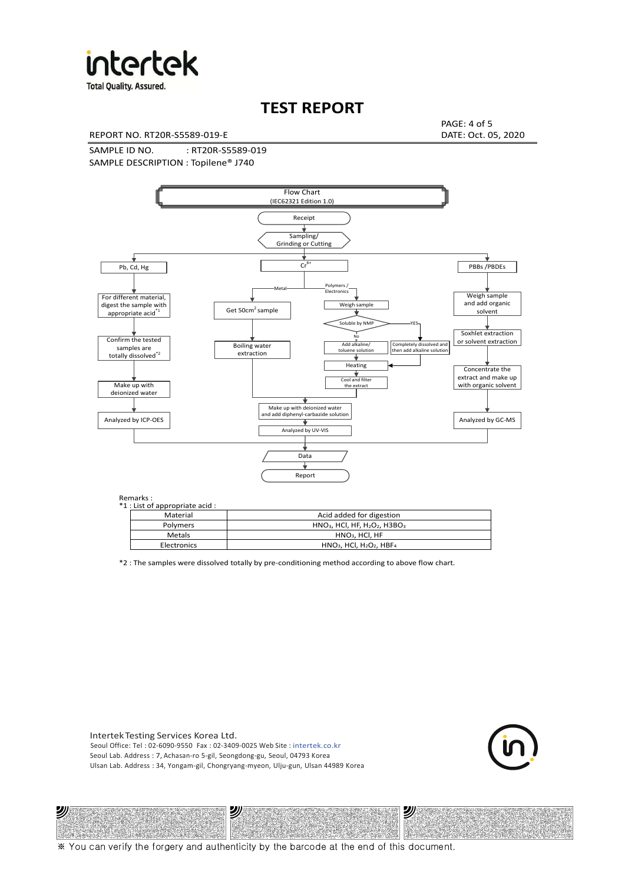

**Total Quality. Assured.** 

### **TEST REPORT**

REPORT NO. RT20R-S5589-019-E DATE: Oct. 05, 2020

PAGE: 4 of 5

SAMPLE ID NO. : RT20R-S5589-019 SAMPLE DESCRIPTION : Topilene® J740



| *1 : List of appropriate acid : |                                                                     |
|---------------------------------|---------------------------------------------------------------------|
| Material                        | Acid added for digestion                                            |
| <b>Polymers</b>                 | $HNO3$ , HCl, HF, H <sub>2</sub> O <sub>2</sub> , H3BO <sub>3</sub> |
| Metals                          | $HNO3$ , HCl, HF                                                    |
| Electronics                     | $HNO3$ , HCl, H <sub>2</sub> O <sub>2</sub> , HBF <sub>4</sub>      |

\*2 : The samples were dissolved totally by pre-conditioning method according to above flow chart.

Intertek Testing Services Korea Ltd. Seoul Office: Tel : 02-6090-9550 Fax : 02-3409-0025 Web Site : intertek.co.kr Seoul Lab. Address : 7, Achasan-ro 5-gil, Seongdong-gu, Seoul, 04793 Korea Ulsan Lab. Address : 34, Yongam-gil, Chongryang-myeon, Ulju-gun, Ulsan 44989 Korea

沙

沙



沙